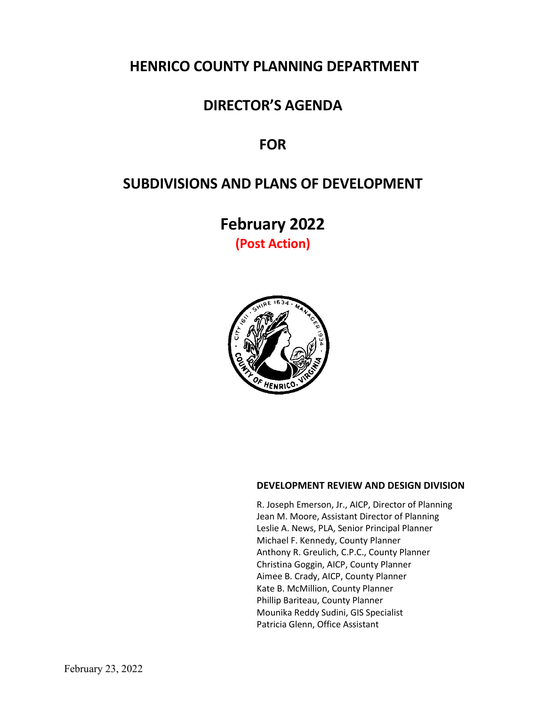# **HENRICO COUNTY PLANNING DEPARTMENT**

# **DIRECTOR'S AGENDA**

# **FOR**

# **SUBDIVISIONS AND PLANS OF DEVELOPMENT**

**February 2022 (Post Action)**



## **DEVELOPMENT REVIEW AND DESIGN DIVISION**

R. Joseph Emerson, Jr., AICP, Director of Planning Jean M. Moore, Assistant Director of Planning Leslie A. News, PLA, Senior Principal Planner Michael F. Kennedy, County Planner Anthony R. Greulich, C.P.C., County Planner Christina Goggin, AICP, County Planner Aimee B. Crady, AICP, County Planner Kate B. McMillion, County Planner Phillip Bariteau, County Planner Mounika Reddy Sudini, GIS Specialist Patricia Glenn, Office Assistant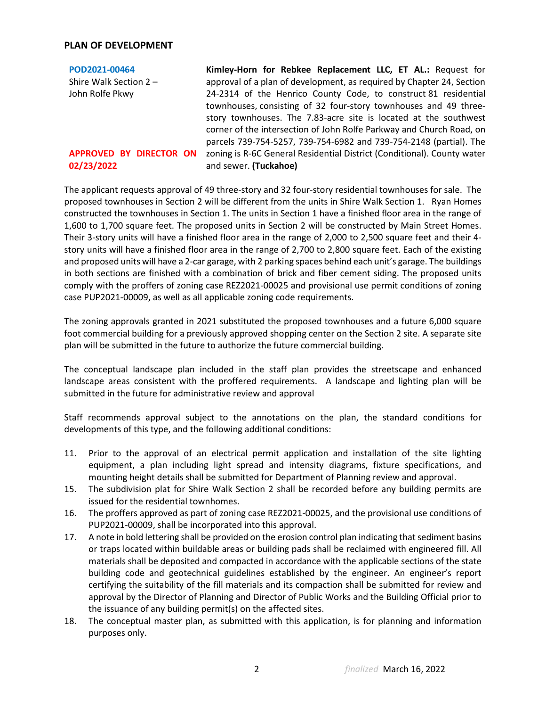#### **PLAN OF DEVELOPMENT**

| POD2021-00464                         | Kimley-Horn for Rebkee Replacement LLC, ET AL.: Request for                                      |
|---------------------------------------|--------------------------------------------------------------------------------------------------|
| Shire Walk Section 2-                 | approval of a plan of development, as required by Chapter 24, Section                            |
| John Rolfe Pkwy                       | 24-2314 of the Henrico County Code, to construct 81 residential                                  |
|                                       | townhouses, consisting of 32 four-story townhouses and 49 three-                                 |
|                                       | story townhouses. The 7.83-acre site is located at the southwest                                 |
|                                       | corner of the intersection of John Rolfe Parkway and Church Road, on                             |
|                                       | parcels 739-754-5257, 739-754-6982 and 739-754-2148 (partial). The                               |
| APPROVED BY DIRECTOR ON<br>02/23/2022 | zoning is R-6C General Residential District (Conditional). County water<br>and sewer. (Tuckahoe) |

The applicant requests approval of 49 three-story and 32 four-story residential townhouses for sale. The proposed townhouses in Section 2 will be different from the units in Shire Walk Section 1. Ryan Homes constructed the townhouses in Section 1. The units in Section 1 have a finished floor area in the range of 1,600 to 1,700 square feet. The proposed units in Section 2 will be constructed by Main Street Homes. Their 3-story units will have a finished floor area in the range of 2,000 to 2,500 square feet and their 4 story units will have a finished floor area in the range of 2,700 to 2,800 square feet. Each of the existing and proposed units will have a 2-car garage, with 2 parking spaces behind each unit's garage. The buildings in both sections are finished with a combination of brick and fiber cement siding. The proposed units comply with the proffers of zoning case REZ2021-00025 and provisional use permit conditions of zoning case PUP2021-00009, as well as all applicable zoning code requirements.

The zoning approvals granted in 2021 substituted the proposed townhouses and a future 6,000 square foot commercial building for a previously approved shopping center on the Section 2 site. A separate site plan will be submitted in the future to authorize the future commercial building.

The conceptual landscape plan included in the staff plan provides the streetscape and enhanced landscape areas consistent with the proffered requirements. A landscape and lighting plan will be submitted in the future for administrative review and approval

Staff recommends approval subject to the annotations on the plan, the standard conditions for developments of this type, and the following additional conditions:

- 11. Prior to the approval of an electrical permit application and installation of the site lighting equipment, a plan including light spread and intensity diagrams, fixture specifications, and mounting height details shall be submitted for Department of Planning review and approval.
- 15. The subdivision plat for Shire Walk Section 2 shall be recorded before any building permits are issued for the residential townhomes.
- 16. The proffers approved as part of zoning case REZ2021-00025, and the provisional use conditions of PUP2021-00009, shall be incorporated into this approval.
- 17. A note in bold lettering shall be provided on the erosion control plan indicating that sediment basins or traps located within buildable areas or building pads shall be reclaimed with engineered fill. All materials shall be deposited and compacted in accordance with the applicable sections of the state building code and geotechnical guidelines established by the engineer. An engineer's report certifying the suitability of the fill materials and its compaction shall be submitted for review and approval by the Director of Planning and Director of Public Works and the Building Official prior to the issuance of any building permit(s) on the affected sites.
- 18. The conceptual master plan, as submitted with this application, is for planning and information purposes only.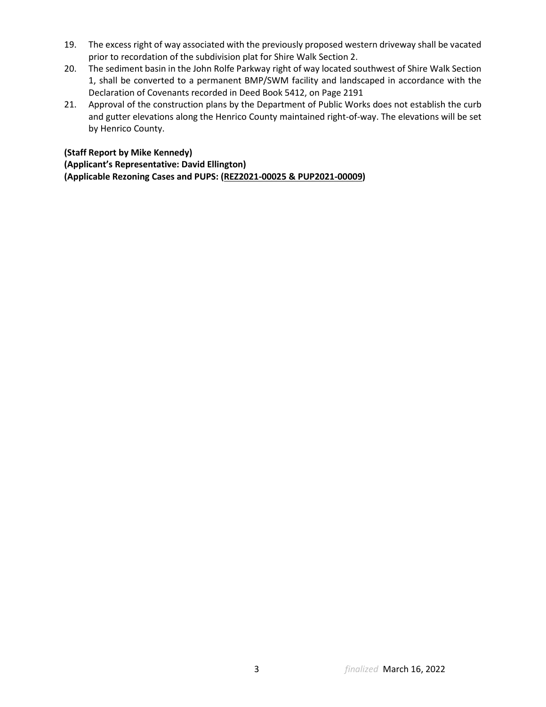- 19. The excess right of way associated with the previously proposed western driveway shall be vacated prior to recordation of the subdivision plat for Shire Walk Section 2.
- 20. The sediment basin in the John Rolfe Parkway right of way located southwest of Shire Walk Section 1, shall be converted to a permanent BMP/SWM facility and landscaped in accordance with the Declaration of Covenants recorded in Deed Book 5412, on Page 2191
- 21. Approval of the construction plans by the Department of Public Works does not establish the curb and gutter elevations along the Henrico County maintained right-of-way. The elevations will be set by Henrico County.

## **(Staff Report by Mike Kennedy)**

**(Applicant's Representative: David Ellington) (Applicable Rezoning Cases and PUPS: (REZ2021-00025 & PUP2021-00009)**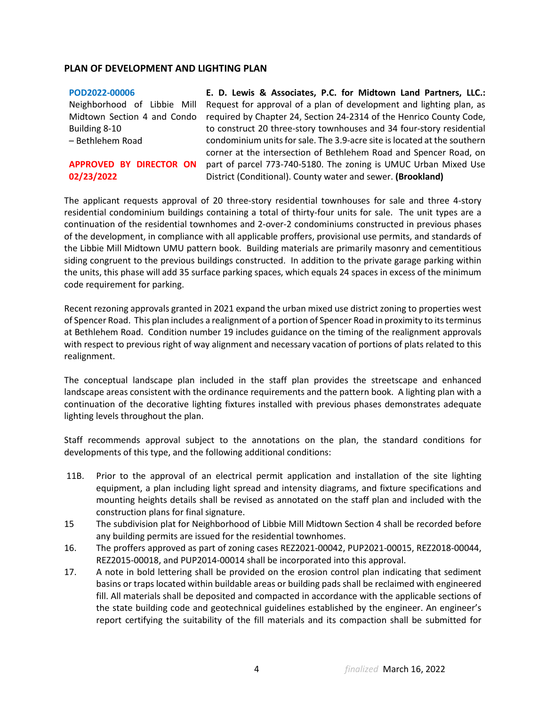#### **PLAN OF DEVELOPMENT AND LIGHTING PLAN**

#### **[POD2022-00006](https://henrico.us/pdfs/planning/2022/feb22/pod/pod2022-00006.pdf)**

Neighborhood of Libbie Mill Midtown Section 4 and Condo Building 8-10 – Bethlehem Road

#### **APPROVED BY DIRECTOR ON 02/23/2022**

**E. D. Lewis & Associates, P.C. for Midtown Land Partners, LLC.:**  Request for approval of a plan of development and lighting plan, as required by Chapter 24, Section 24-2314 of the Henrico County Code, to construct 20 three-story townhouses and 34 four-story residential condominium units for sale. The 3.9-acre site is located at the southern corner at the intersection of Bethlehem Road and Spencer Road, on part of parcel 773-740-5180. The zoning is UMUC Urban Mixed Use District (Conditional). County water and sewer. **(Brookland)**

The applicant requests approval of 20 three-story residential townhouses for sale and three 4-story residential condominium buildings containing a total of thirty-four units for sale. The unit types are a continuation of the residential townhomes and 2-over-2 condominiums constructed in previous phases of the development, in compliance with all applicable proffers, provisional use permits, and standards of the Libbie Mill Midtown UMU pattern book. Building materials are primarily masonry and cementitious siding congruent to the previous buildings constructed. In addition to the private garage parking within the units, this phase will add 35 surface parking spaces, which equals 24 spaces in excess of the minimum code requirement for parking.

Recent rezoning approvals granted in 2021 expand the urban mixed use district zoning to properties west of Spencer Road. This plan includes a realignment of a portion of Spencer Road in proximity to its terminus at Bethlehem Road. Condition number 19 includes guidance on the timing of the realignment approvals with respect to previous right of way alignment and necessary vacation of portions of plats related to this realignment.

The conceptual landscape plan included in the staff plan provides the streetscape and enhanced landscape areas consistent with the ordinance requirements and the pattern book. A lighting plan with a continuation of the decorative lighting fixtures installed with previous phases demonstrates adequate lighting levels throughout the plan.

Staff recommends approval subject to the annotations on the plan, the standard conditions for developments of this type, and the following additional conditions:

- 11B. Prior to the approval of an electrical permit application and installation of the site lighting equipment, a plan including light spread and intensity diagrams, and fixture specifications and mounting heights details shall be revised as annotated on the staff plan and included with the construction plans for final signature.
- 15 The subdivision plat for Neighborhood of Libbie Mill Midtown Section 4 shall be recorded before any building permits are issued for the residential townhomes.
- 16. The proffers approved as part of zoning cases REZ2021-00042, PUP2021-00015, REZ2018-00044, REZ2015-00018, and PUP2014-00014 shall be incorporated into this approval.
- 17. A note in bold lettering shall be provided on the erosion control plan indicating that sediment basins or traps located within buildable areas or building pads shall be reclaimed with engineered fill. All materials shall be deposited and compacted in accordance with the applicable sections of the state building code and geotechnical guidelines established by the engineer. An engineer's report certifying the suitability of the fill materials and its compaction shall be submitted for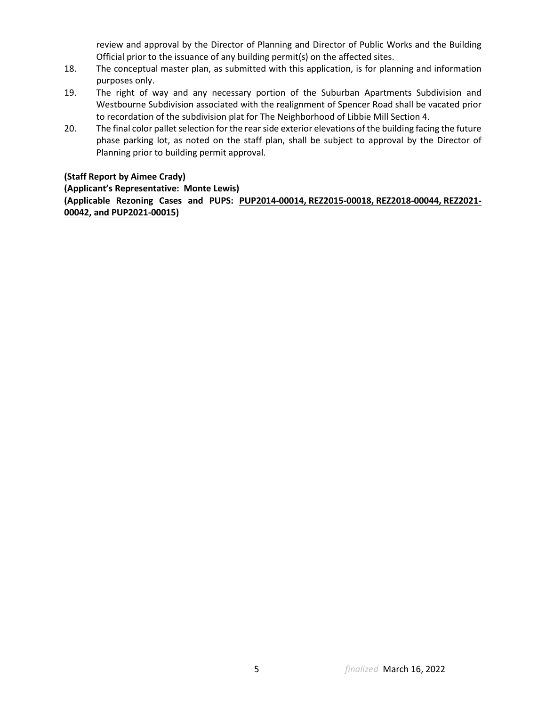review and approval by the Director of Planning and Director of Public Works and the Building Official prior to the issuance of any building permit(s) on the affected sites.

- 18. The conceptual master plan, as submitted with this application, is for planning and information purposes only.
- 19. The right of way and any necessary portion of the Suburban Apartments Subdivision and Westbourne Subdivision associated with the realignment of Spencer Road shall be vacated prior to recordation of the subdivision plat for The Neighborhood of Libbie Mill Section 4.
- 20. The final color pallet selection for the rear side exterior elevations of the building facing the future phase parking lot, as noted on the staff plan, shall be subject to approval by the Director of Planning prior to building permit approval.

## **(Staff Report by Aimee Crady)**

**(Applicant's Representative: Monte Lewis) (Applicable Rezoning Cases and PUPS: PUP2014-00014, REZ2015-00018, REZ2018-00044, REZ2021- 00042, and PUP2021-00015)**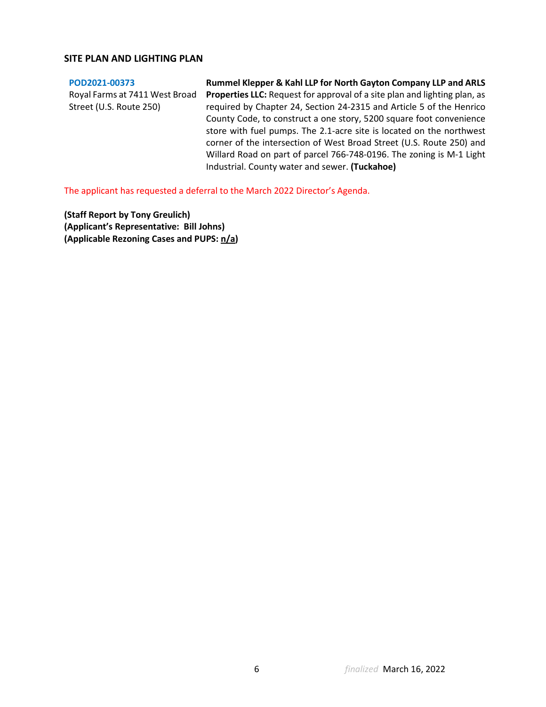### **SITE PLAN AND LIGHTING PLAN**

#### **[POD2021-00373](https://henrico.us/pdfs/planning/2022/feb22/pod/pod2021-00373.pdf)**

Royal Farms at 7411 West Broad Street (U.S. Route 250)

**Rummel Klepper & Kahl LLP for North Gayton Company LLP and ARLS Properties LLC:** Request for approval of a site plan and lighting plan, as required by Chapter 24, Section 24-2315 and Article 5 of the Henrico County Code, to construct a one story, 5200 square foot convenience store with fuel pumps. The 2.1-acre site is located on the northwest corner of the intersection of West Broad Street (U.S. Route 250) and Willard Road on part of parcel 766-748-0196. The zoning is M-1 Light Industrial. County water and sewer. **(Tuckahoe)**

The applicant has requested a deferral to the March 2022 Director's Agenda.

**(Staff Report by Tony Greulich) (Applicant's Representative: Bill Johns) (Applicable Rezoning Cases and PUPS: n/a)**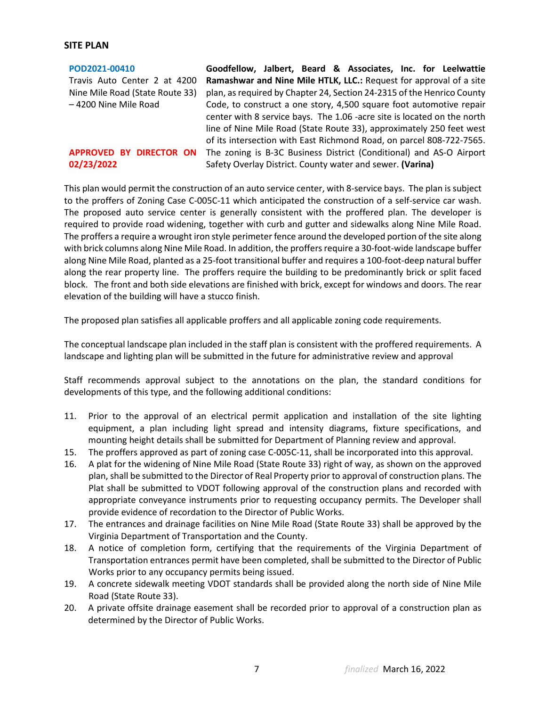#### **SITE PLAN**

**[POD2021-00410](https://henrico.us/pdfs/planning/2022/feb22/pod/pod2021-00410.pdf)** Travis Auto Center 2 at 4200 Nine Mile Road (State Route 33) – 4200 Nine Mile Road

### **APPROVED BY DIRECTOR ON 02/23/2022**

**Goodfellow, Jalbert, Beard & Associates, Inc. for Leelwattie Ramashwar and Nine Mile HTLK, LLC.:** Request for approval of a site plan, as required by Chapter 24, Section 24-2315 of the Henrico County Code, to construct a one story, 4,500 square foot automotive repair center with 8 service bays. The 1.06 -acre site is located on the north line of Nine Mile Road (State Route 33), approximately 250 feet west of its intersection with East Richmond Road, on parcel 808-722-7565. The zoning is B-3C Business District (Conditional) and AS-O Airport Safety Overlay District. County water and sewer. **(Varina)**

This plan would permit the construction of an auto service center, with 8-service bays. The plan is subject to the proffers of Zoning Case C-005C-11 which anticipated the construction of a self-service car wash. The proposed auto service center is generally consistent with the proffered plan. The developer is required to provide road widening, together with curb and gutter and sidewalks along Nine Mile Road. The proffers a require a wrought iron style perimeter fence around the developed portion of the site along with brick columns along Nine Mile Road. In addition, the proffers require a 30-foot-wide landscape buffer along Nine Mile Road, planted as a 25-foot transitional buffer and requires a 100-foot-deep natural buffer along the rear property line. The proffers require the building to be predominantly brick or split faced block. The front and both side elevations are finished with brick, except for windows and doors. The rear elevation of the building will have a stucco finish.

The proposed plan satisfies all applicable proffers and all applicable zoning code requirements.

The conceptual landscape plan included in the staff plan is consistent with the proffered requirements. A landscape and lighting plan will be submitted in the future for administrative review and approval

Staff recommends approval subject to the annotations on the plan, the standard conditions for developments of this type, and the following additional conditions:

- 11. Prior to the approval of an electrical permit application and installation of the site lighting equipment, a plan including light spread and intensity diagrams, fixture specifications, and mounting height details shall be submitted for Department of Planning review and approval.
- 15. The proffers approved as part of zoning case C-005C-11, shall be incorporated into this approval.
- 16. A plat for the widening of Nine Mile Road (State Route 33) right of way, as shown on the approved plan, shall be submitted to the Director of Real Property prior to approval of construction plans. The Plat shall be submitted to VDOT following approval of the construction plans and recorded with appropriate conveyance instruments prior to requesting occupancy permits. The Developer shall provide evidence of recordation to the Director of Public Works.
- 17. The entrances and drainage facilities on Nine Mile Road (State Route 33) shall be approved by the Virginia Department of Transportation and the County.
- 18. A notice of completion form, certifying that the requirements of the Virginia Department of Transportation entrances permit have been completed, shall be submitted to the Director of Public Works prior to any occupancy permits being issued.
- 19. A concrete sidewalk meeting VDOT standards shall be provided along the north side of Nine Mile Road (State Route 33).
- 20. A private offsite drainage easement shall be recorded prior to approval of a construction plan as determined by the Director of Public Works.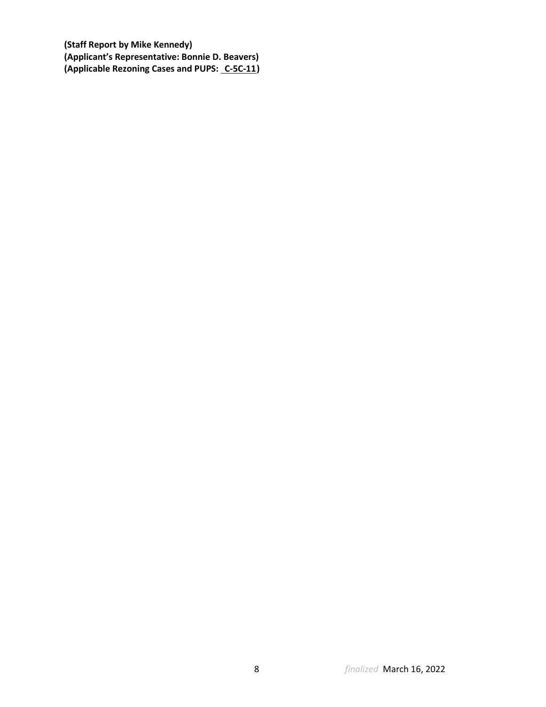**(Staff Report by Mike Kennedy) (Applicant's Representative: Bonnie D. Beavers) (Applicable Rezoning Cases and PUPS: C-5C-11 )**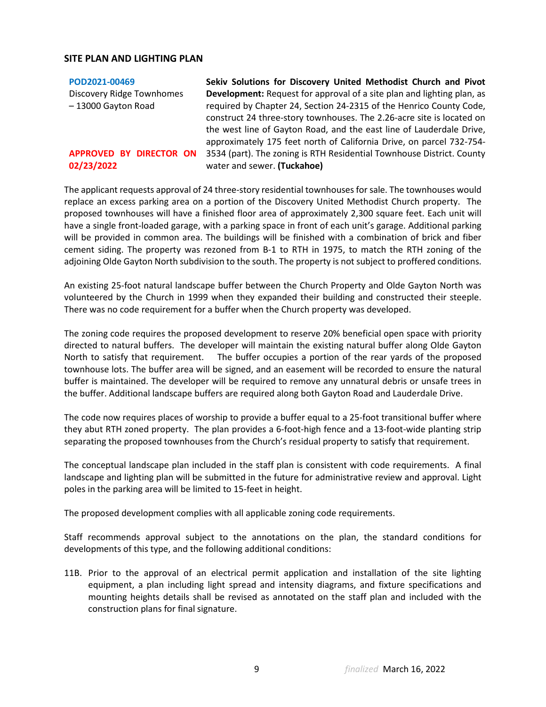### **SITE PLAN AND LIGHTING PLAN**

| POD2021-00469             | Sekiv Solutions for Discovery United Methodist Church and Pivot               |
|---------------------------|-------------------------------------------------------------------------------|
| Discovery Ridge Townhomes | <b>Development:</b> Request for approval of a site plan and lighting plan, as |
| - 13000 Gayton Road       | required by Chapter 24, Section 24-2315 of the Henrico County Code,           |
|                           | construct 24 three-story townhouses. The 2.26-acre site is located on         |
|                           | the west line of Gayton Road, and the east line of Lauderdale Drive,          |
|                           | approximately 175 feet north of California Drive, on parcel 732-754-          |
| APPROVED BY DIRECTOR ON   | 3534 (part). The zoning is RTH Residential Townhouse District. County         |
| 02/23/2022                | water and sewer. (Tuckahoe)                                                   |
|                           |                                                                               |

The applicant requests approval of 24 three-story residential townhouses for sale. The townhouses would replace an excess parking area on a portion of the Discovery United Methodist Church property. The proposed townhouses will have a finished floor area of approximately 2,300 square feet. Each unit will have a single front-loaded garage, with a parking space in front of each unit's garage. Additional parking will be provided in common area. The buildings will be finished with a combination of brick and fiber cement siding. The property was rezoned from B-1 to RTH in 1975, to match the RTH zoning of the adjoining Olde Gayton North subdivision to the south. The property is not subject to proffered conditions.

An existing 25-foot natural landscape buffer between the Church Property and Olde Gayton North was volunteered by the Church in 1999 when they expanded their building and constructed their steeple. There was no code requirement for a buffer when the Church property was developed.

The zoning code requires the proposed development to reserve 20% beneficial open space with priority directed to natural buffers. The developer will maintain the existing natural buffer along Olde Gayton North to satisfy that requirement. The buffer occupies a portion of the rear yards of the proposed townhouse lots. The buffer area will be signed, and an easement will be recorded to ensure the natural buffer is maintained. The developer will be required to remove any unnatural debris or unsafe trees in the buffer. Additional landscape buffers are required along both Gayton Road and Lauderdale Drive.

The code now requires places of worship to provide a buffer equal to a 25-foot transitional buffer where they abut RTH zoned property. The plan provides a 6-foot-high fence and a 13-foot-wide planting strip separating the proposed townhouses from the Church's residual property to satisfy that requirement.

The conceptual landscape plan included in the staff plan is consistent with code requirements. A final landscape and lighting plan will be submitted in the future for administrative review and approval. Light poles in the parking area will be limited to 15-feet in height.

The proposed development complies with all applicable zoning code requirements.

Staff recommends approval subject to the annotations on the plan, the standard conditions for developments of this type, and the following additional conditions:

11B. Prior to the approval of an electrical permit application and installation of the site lighting equipment, a plan including light spread and intensity diagrams, and fixture specifications and mounting heights details shall be revised as annotated on the staff plan and included with the construction plans for final signature.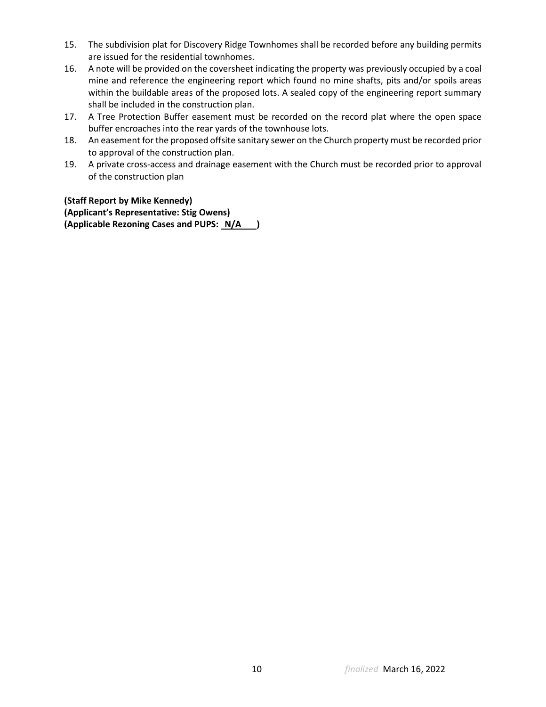- 15. The subdivision plat for Discovery Ridge Townhomes shall be recorded before any building permits are issued for the residential townhomes.
- 16. A note will be provided on the coversheet indicating the property was previously occupied by a coal mine and reference the engineering report which found no mine shafts, pits and/or spoils areas within the buildable areas of the proposed lots. A sealed copy of the engineering report summary shall be included in the construction plan.
- 17. A Tree Protection Buffer easement must be recorded on the record plat where the open space buffer encroaches into the rear yards of the townhouse lots.
- 18. An easement for the proposed offsite sanitary sewer on the Church property must be recorded prior to approval of the construction plan.
- 19. A private cross-access and drainage easement with the Church must be recorded prior to approval of the construction plan

**(Staff Report by Mike Kennedy) (Applicant's Representative: Stig Owens)**

**(Applicable Rezoning Cases and PUPS: N/A )**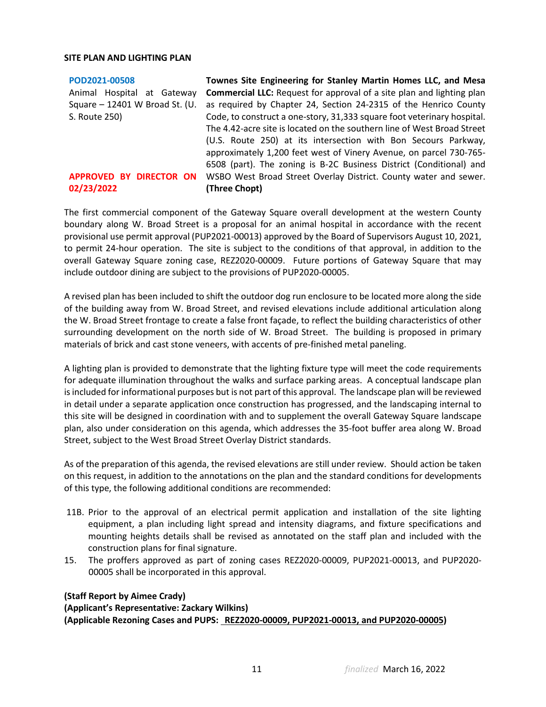#### **SITE PLAN AND LIGHTING PLAN**

**[POD2021-00508](https://henrico.us/pdfs/planning/2022/feb22/pod/pod2021-00508.pdf)** Animal Hospital at Gateway **Commercial LLC:** Request for approval of a site plan and lighting plan Square - 12401 W Broad St. (U. as required by Chapter 24, Section 24-2315 of the Henrico County S. Route 250) APPROVED BY DIRECTOR ON WSBO West Broad Street Overlay District. County water and sewer. **02/23/2022 Townes Site Engineering for Stanley Martin Homes LLC, and Mesa**  Code, to construct a one-story, 31,333 square foot veterinary hospital. The 4.42-acre site is located on the southern line of West Broad Street (U.S. Route 250) at its intersection with Bon Secours Parkway, approximately 1,200 feet west of Vinery Avenue, on parcel 730-765- 6508 (part). The zoning is B-2C Business District (Conditional) and **(Three Chopt)**

The first commercial component of the Gateway Square overall development at the western County boundary along W. Broad Street is a proposal for an animal hospital in accordance with the recent provisional use permit approval (PUP2021-00013) approved by the Board of Supervisors August 10, 2021, to permit 24-hour operation. The site is subject to the conditions of that approval, in addition to the overall Gateway Square zoning case, REZ2020-00009. Future portions of Gateway Square that may include outdoor dining are subject to the provisions of PUP2020-00005.

A revised plan has been included to shift the outdoor dog run enclosure to be located more along the side of the building away from W. Broad Street, and revised elevations include additional articulation along the W. Broad Street frontage to create a false front façade, to reflect the building characteristics of other surrounding development on the north side of W. Broad Street. The building is proposed in primary materials of brick and cast stone veneers, with accents of pre-finished metal paneling.

A lighting plan is provided to demonstrate that the lighting fixture type will meet the code requirements for adequate illumination throughout the walks and surface parking areas. A conceptual landscape plan is included for informational purposes but is not part of this approval. The landscape plan will be reviewed in detail under a separate application once construction has progressed, and the landscaping internal to this site will be designed in coordination with and to supplement the overall Gateway Square landscape plan, also under consideration on this agenda, which addresses the 35-foot buffer area along W. Broad Street, subject to the West Broad Street Overlay District standards.

As of the preparation of this agenda, the revised elevations are still under review. Should action be taken on this request, in addition to the annotations on the plan and the standard conditions for developments of this type, the following additional conditions are recommended:

- 11B. Prior to the approval of an electrical permit application and installation of the site lighting equipment, a plan including light spread and intensity diagrams, and fixture specifications and mounting heights details shall be revised as annotated on the staff plan and included with the construction plans for final signature.
- 15. The proffers approved as part of zoning cases REZ2020-00009, PUP2021-00013, and PUP2020- 00005 shall be incorporated in this approval.

### **(Staff Report by Aimee Crady) (Applicant's Representative: Zackary Wilkins) (Applicable Rezoning Cases and PUPS: REZ2020-00009, PUP2021-00013, and PUP2020-00005)**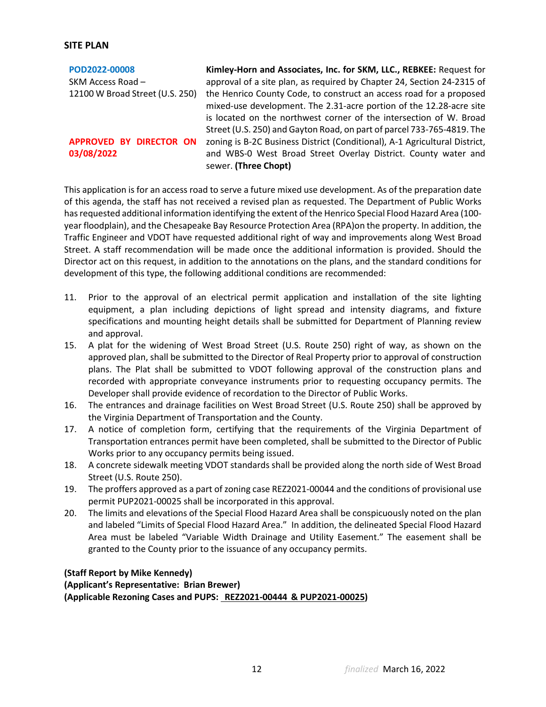### **SITE PLAN**

| POD2022-00008                   | Kimley-Horn and Associates, Inc. for SKM, LLC., REBKEE: Request for        |
|---------------------------------|----------------------------------------------------------------------------|
| SKM Access Road -               | approval of a site plan, as required by Chapter 24, Section 24-2315 of     |
| 12100 W Broad Street (U.S. 250) | the Henrico County Code, to construct an access road for a proposed        |
|                                 | mixed-use development. The 2.31-acre portion of the 12.28-acre site        |
|                                 | is located on the northwest corner of the intersection of W. Broad         |
|                                 | Street (U.S. 250) and Gayton Road, on part of parcel 733-765-4819. The     |
| APPROVED BY DIRECTOR ON         | zoning is B-2C Business District (Conditional), A-1 Agricultural District, |
| 03/08/2022                      | and WBS-0 West Broad Street Overlay District. County water and             |
|                                 | sewer. (Three Chopt)                                                       |

This application is for an access road to serve a future mixed use development. As of the preparation date of this agenda, the staff has not received a revised plan as requested. The Department of Public Works has requested additional information identifying the extent of the Henrico Special Flood Hazard Area (100 year floodplain), and the Chesapeake Bay Resource Protection Area (RPA)on the property. In addition, the Traffic Engineer and VDOT have requested additional right of way and improvements along West Broad Street. A staff recommendation will be made once the additional information is provided. Should the Director act on this request, in addition to the annotations on the plans, and the standard conditions for development of this type, the following additional conditions are recommended:

- 11. Prior to the approval of an electrical permit application and installation of the site lighting equipment, a plan including depictions of light spread and intensity diagrams, and fixture specifications and mounting height details shall be submitted for Department of Planning review and approval.
- 15. A plat for the widening of West Broad Street (U.S. Route 250) right of way, as shown on the approved plan, shall be submitted to the Director of Real Property prior to approval of construction plans. The Plat shall be submitted to VDOT following approval of the construction plans and recorded with appropriate conveyance instruments prior to requesting occupancy permits. The Developer shall provide evidence of recordation to the Director of Public Works.
- 16. The entrances and drainage facilities on West Broad Street (U.S. Route 250) shall be approved by the Virginia Department of Transportation and the County.
- 17. A notice of completion form, certifying that the requirements of the Virginia Department of Transportation entrances permit have been completed, shall be submitted to the Director of Public Works prior to any occupancy permits being issued.
- 18. A concrete sidewalk meeting VDOT standards shall be provided along the north side of West Broad Street (U.S. Route 250).
- 19. The proffers approved as a part of zoning case REZ2021-00044 and the conditions of provisional use permit PUP2021-00025 shall be incorporated in this approval.
- 20. The limits and elevations of the Special Flood Hazard Area shall be conspicuously noted on the plan and labeled "Limits of Special Flood Hazard Area." In addition, the delineated Special Flood Hazard Area must be labeled "Variable Width Drainage and Utility Easement." The easement shall be granted to the County prior to the issuance of any occupancy permits.

## **(Staff Report by Mike Kennedy) (Applicant's Representative: Brian Brewer) (Applicable Rezoning Cases and PUPS: REZ2021-00444 & PUP2021-00025)**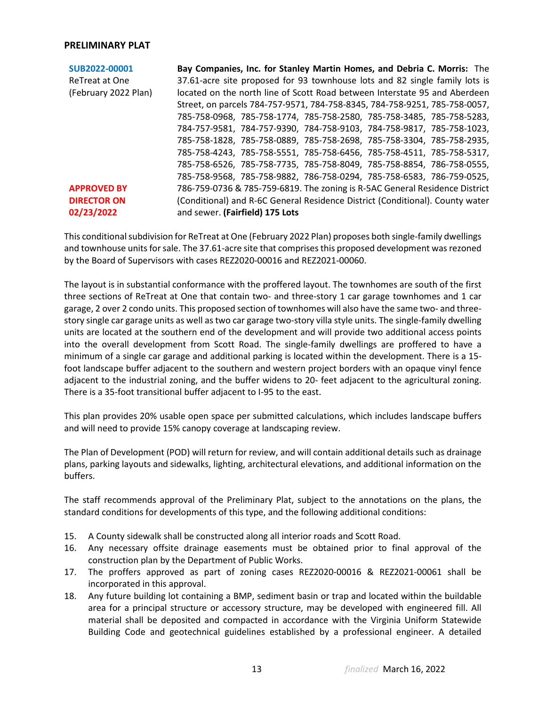#### **PRELIMINARY PLAT**

| SUB2022-00001        | Bay Companies, Inc. for Stanley Martin Homes, and Debria C. Morris: The       |
|----------------------|-------------------------------------------------------------------------------|
| ReTreat at One       | 37.61-acre site proposed for 93 townhouse lots and 82 single family lots is   |
| (February 2022 Plan) | located on the north line of Scott Road between Interstate 95 and Aberdeen    |
|                      | Street, on parcels 784-757-9571, 784-758-8345, 784-758-9251, 785-758-0057,    |
|                      | 785-758-0968, 785-758-1774, 785-758-2580, 785-758-3485, 785-758-5283,         |
|                      | 784-757-9581, 784-757-9390, 784-758-9103, 784-758-9817, 785-758-1023,         |
|                      | 785-758-1828, 785-758-0889, 785-758-2698, 785-758-3304, 785-758-2935,         |
|                      | 785-758-4243, 785-758-5551, 785-758-6456, 785-758-4511, 785-758-5317,         |
|                      | 785-758-6526, 785-758-7735, 785-758-8049, 785-758-8854, 786-758-0555,         |
|                      | 785-758-9568, 785-758-9882, 786-758-0294, 785-758-6583, 786-759-0525,         |
| <b>APPROVED BY</b>   | 786-759-0736 & 785-759-6819. The zoning is R-5AC General Residence District   |
| <b>DIRECTOR ON</b>   | (Conditional) and R-6C General Residence District (Conditional). County water |
| 02/23/2022           | and sewer. (Fairfield) 175 Lots                                               |

This conditional subdivision for ReTreat at One (February 2022 Plan) proposes both single-family dwellings and townhouse units for sale. The 37.61-acre site that comprises this proposed development was rezoned by the Board of Supervisors with cases REZ2020-00016 and REZ2021-00060.

The layout is in substantial conformance with the proffered layout. The townhomes are south of the first three sections of ReTreat at One that contain two- and three-story 1 car garage townhomes and 1 car garage, 2 over 2 condo units. This proposed section of townhomes will also have the same two- and threestory single car garage units as well as two car garage two-story villa style units. The single-family dwelling units are located at the southern end of the development and will provide two additional access points into the overall development from Scott Road. The single-family dwellings are proffered to have a minimum of a single car garage and additional parking is located within the development. There is a 15 foot landscape buffer adjacent to the southern and western project borders with an opaque vinyl fence adjacent to the industrial zoning, and the buffer widens to 20- feet adjacent to the agricultural zoning. There is a 35-foot transitional buffer adjacent to I-95 to the east.

This plan provides 20% usable open space per submitted calculations, which includes landscape buffers and will need to provide 15% canopy coverage at landscaping review.

The Plan of Development (POD) will return for review, and will contain additional details such as drainage plans, parking layouts and sidewalks, lighting, architectural elevations, and additional information on the buffers.

The staff recommends approval of the Preliminary Plat, subject to the annotations on the plans, the standard conditions for developments of this type, and the following additional conditions:

- 15. A County sidewalk shall be constructed along all interior roads and Scott Road.
- 16. Any necessary offsite drainage easements must be obtained prior to final approval of the construction plan by the Department of Public Works.
- 17. The proffers approved as part of zoning cases REZ2020-00016 & REZ2021-00061 shall be incorporated in this approval.
- 18. Any future building lot containing a BMP, sediment basin or trap and located within the buildable area for a principal structure or accessory structure, may be developed with engineered fill. All material shall be deposited and compacted in accordance with the Virginia Uniform Statewide Building Code and geotechnical guidelines established by a professional engineer. A detailed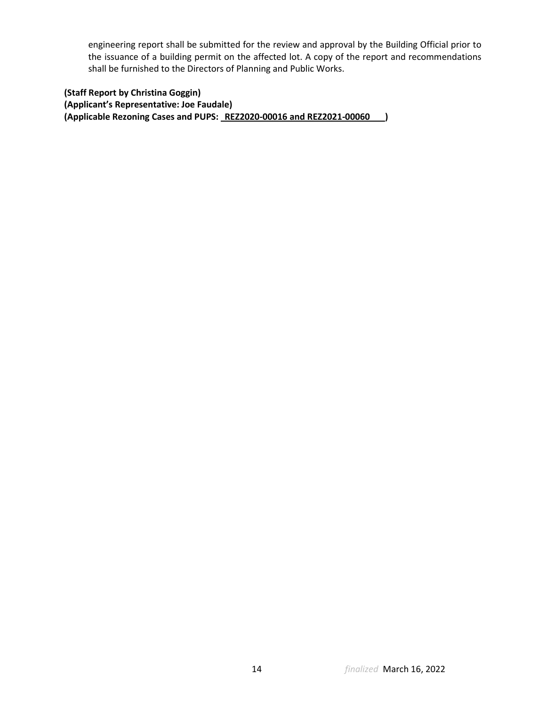engineering report shall be submitted for the review and approval by the Building Official prior to the issuance of a building permit on the affected lot. A copy of the report and recommendations shall be furnished to the Directors of Planning and Public Works.

**(Staff Report by Christina Goggin) (Applicant's Representative: Joe Faudale) (Applicable Rezoning Cases and PUPS: REZ2020-00016 and REZ2021-00060 )**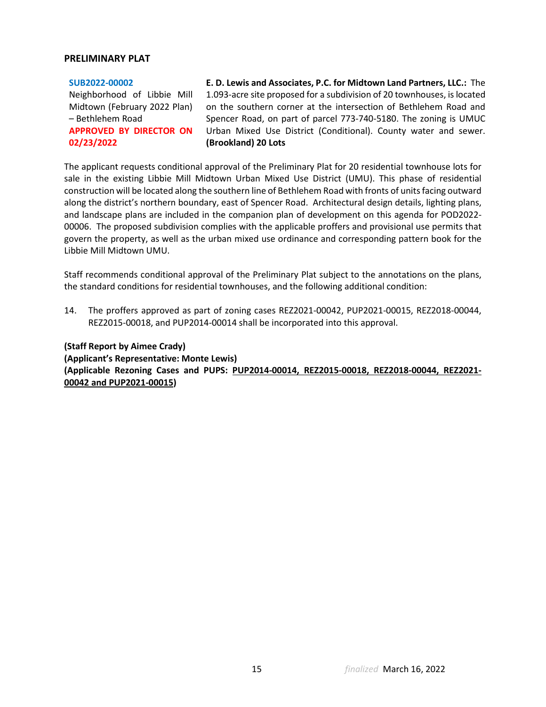#### **PRELIMINARY PLAT**

| SUB2022-00002                  |  |  |
|--------------------------------|--|--|
| Neighborhood of Libbie Mill    |  |  |
| Midtown (February 2022 Plan)   |  |  |
| - Bethlehem Road               |  |  |
| <b>APPROVED BY DIRECTOR ON</b> |  |  |
| 02/23/2022                     |  |  |

**E. D. Lewis and Associates, P.C. for Midtown Land Partners, LLC.:** The 1.093-acre site proposed for a subdivision of 20 townhouses, is located on the southern corner at the intersection of Bethlehem Road and Spencer Road, on part of parcel 773-740-5180. The zoning is UMUC Urban Mixed Use District (Conditional). County water and sewer. **(Brookland) 20 Lots**

The applicant requests conditional approval of the Preliminary Plat for 20 residential townhouse lots for sale in the existing Libbie Mill Midtown Urban Mixed Use District (UMU). This phase of residential construction will be located along the southern line of Bethlehem Road with fronts of units facing outward along the district's northern boundary, east of Spencer Road. Architectural design details, lighting plans, and landscape plans are included in the companion plan of development on this agenda for POD2022- 00006. The proposed subdivision complies with the applicable proffers and provisional use permits that govern the property, as well as the urban mixed use ordinance and corresponding pattern book for the Libbie Mill Midtown UMU.

Staff recommends conditional approval of the Preliminary Plat subject to the annotations on the plans, the standard conditions for residential townhouses, and the following additional condition:

14. The proffers approved as part of zoning cases REZ2021-00042, PUP2021-00015, REZ2018-00044, REZ2015-00018, and PUP2014-00014 shall be incorporated into this approval.

**(Staff Report by Aimee Crady) (Applicant's Representative: Monte Lewis) (Applicable Rezoning Cases and PUPS: PUP2014-00014, REZ2015-00018, REZ2018-00044, REZ2021- 00042 and PUP2021-00015)**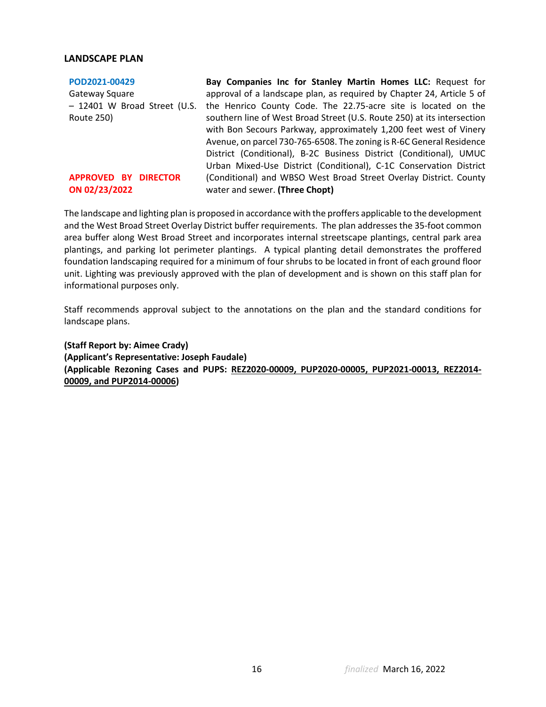#### **LANDSCAPE PLAN**

| POD2021-00429                | Bay Companies Inc for Stanley Martin Homes LLC: Request for             |
|------------------------------|-------------------------------------------------------------------------|
| Gateway Square               | approval of a landscape plan, as required by Chapter 24, Article 5 of   |
| - 12401 W Broad Street (U.S. | the Henrico County Code. The 22.75-acre site is located on the          |
| Route 250)                   | southern line of West Broad Street (U.S. Route 250) at its intersection |
|                              | with Bon Secours Parkway, approximately 1,200 feet west of Vinery       |
|                              | Avenue, on parcel 730-765-6508. The zoning is R-6C General Residence    |
|                              | District (Conditional), B-2C Business District (Conditional), UMUC      |
|                              | Urban Mixed-Use District (Conditional), C-1C Conservation District      |
| APPROVED BY DIRECTOR         | (Conditional) and WBSO West Broad Street Overlay District. County       |
| ON 02/23/2022                | water and sewer. (Three Chopt)                                          |

The landscape and lighting plan is proposed in accordance with the proffers applicable to the development and the West Broad Street Overlay District buffer requirements. The plan addresses the 35-foot common area buffer along West Broad Street and incorporates internal streetscape plantings, central park area plantings, and parking lot perimeter plantings. A typical planting detail demonstrates the proffered foundation landscaping required for a minimum of four shrubs to be located in front of each ground floor unit. Lighting was previously approved with the plan of development and is shown on this staff plan for informational purposes only.

Staff recommends approval subject to the annotations on the plan and the standard conditions for landscape plans.

**(Staff Report by: Aimee Crady) (Applicant's Representative: Joseph Faudale) (Applicable Rezoning Cases and PUPS: REZ2020-00009, PUP2020-00005, PUP2021-00013, REZ2014- 00009, and PUP2014-00006)**